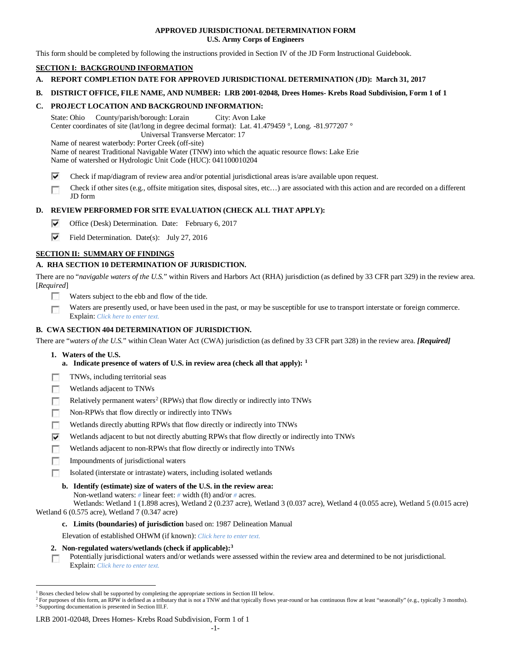## **APPROVED JURISDICTIONAL DETERMINATION FORM U.S. Army Corps of Engineers**

This form should be completed by following the instructions provided in Section IV of the JD Form Instructional Guidebook.

# **SECTION I: BACKGROUND INFORMATION**

- **A. REPORT COMPLETION DATE FOR APPROVED JURISDICTIONAL DETERMINATION (JD): March 31, 2017**
- **B. DISTRICT OFFICE, FILE NAME, AND NUMBER: LRB 2001-02048, Drees Homes- Krebs Road Subdivision, Form 1 of 1**

# **C. PROJECT LOCATION AND BACKGROUND INFORMATION:**

State: Ohio County/parish/borough: Lorain City: Avon Lake Center coordinates of site (lat/long in degree decimal format): Lat. 41.479459 °, Long. -81.977207 ° Universal Transverse Mercator: 17

Name of nearest waterbody: Porter Creek (off-site)

Name of nearest Traditional Navigable Water (TNW) into which the aquatic resource flows: Lake Erie

Name of watershed or Hydrologic Unit Code (HUC): 041100010204

- ⊽ Check if map/diagram of review area and/or potential jurisdictional areas is/are available upon request.
- Check if other sites (e.g., offsite mitigation sites, disposal sites, etc…) are associated with this action and are recorded on a different п JD form

# **D. REVIEW PERFORMED FOR SITE EVALUATION (CHECK ALL THAT APPLY):**

- ⊽ Office (Desk) Determination. Date: February 6, 2017
- ⊽ Field Determination. Date(s): July 27, 2016

## **SECTION II: SUMMARY OF FINDINGS**

## **A. RHA SECTION 10 DETERMINATION OF JURISDICTION.**

There are no "*navigable waters of the U.S.*" within Rivers and Harbors Act (RHA) jurisdiction (as defined by 33 CFR part 329) in the review area. [*Required*]

- n Waters subject to the ebb and flow of the tide.
- Waters are presently used, or have been used in the past, or may be susceptible for use to transport interstate or foreign commerce. п Explain: *Click here to enter text.*

# **B. CWA SECTION 404 DETERMINATION OF JURISDICTION.**

There are "*waters of the U.S.*" within Clean Water Act (CWA) jurisdiction (as defined by 33 CFR part 328) in the review area. *[Required]*

- **1. Waters of the U.S.**
	- **a. Indicate presence of waters of U.S. in review area (check all that apply): [1](#page-0-0)**
- TNWs, including territorial seas
- 同 Wetlands adjacent to TNWs
- Relatively permanent waters<sup>2</sup> (RPWs) that flow directly or indirectly into TNWs п
- Non-RPWs that flow directly or indirectly into TNWs г
- п Wetlands directly abutting RPWs that flow directly or indirectly into TNWs
- ⊽ Wetlands adjacent to but not directly abutting RPWs that flow directly or indirectly into TNWs
- Wetlands adjacent to non-RPWs that flow directly or indirectly into TNWs п
- **In** Impoundments of jurisdictional waters
- Isolated (interstate or intrastate) waters, including isolated wetlands m
	- **b. Identify (estimate) size of waters of the U.S. in the review area:**
		- Non-wetland waters: *#* linear feet: *#* width (ft) and/or *#* acres.

Wetlands: Wetland 1 (1.898 acres), Wetland 2 (0.237 acre), Wetland 3 (0.037 acre), Wetland 4 (0.055 acre), Wetland 5 (0.015 acre) Wetland 6 (0.575 acre), Wetland 7 (0.347 acre)

- **c. Limits (boundaries) of jurisdiction** based on: 1987 Delineation Manual
- Elevation of established OHWM (if known): *Click here to enter text.*
- **2. Non-regulated waters/wetlands (check if applicable):[3](#page-0-2)**

Potentially jurisdictional waters and/or wetlands were assessed within the review area and determined to be not jurisdictional. **I** Explain: *Click here to enter text.*

### LRB 2001-02048, Drees Homes- Krebs Road Subdivision, Form 1 of 1

<span id="page-0-0"></span> <sup>1</sup> Boxes checked below shall be supported by completing the appropriate sections in Section III below.

<span id="page-0-2"></span><span id="page-0-1"></span><sup>&</sup>lt;sup>2</sup> For purposes of this form, an RPW is defined as a tributary that is not a TNW and that typically flows year-round or has continuous flow at least "seasonally" (e.g., typically 3 months). <sup>3</sup> Supporting documentation is presented in Section III.F.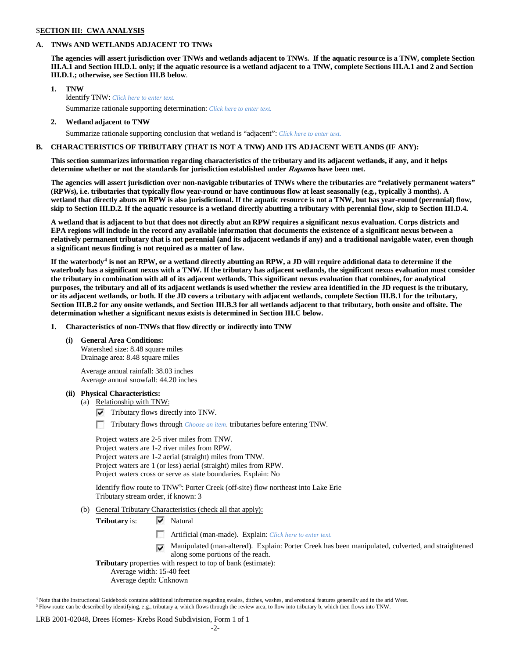### S**ECTION III: CWA ANALYSIS**

### **A. TNWs AND WETLANDS ADJACENT TO TNWs**

**The agencies will assert jurisdiction over TNWs and wetlands adjacent to TNWs. If the aquatic resource is a TNW, complete Section III.A.1 and Section III.D.1. only; if the aquatic resource is a wetland adjacent to a TNW, complete Sections III.A.1 and 2 and Section III.D.1.; otherwise, see Section III.B below**.

- **1. TNW**  Identify TNW: *Click here to enter text.*
	- Summarize rationale supporting determination: *Click here to enter text.*
- **2. Wetland adjacent to TNW**

Summarize rationale supporting conclusion that wetland is "adjacent": *Click here to enter text.*

### **B. CHARACTERISTICS OF TRIBUTARY (THAT IS NOT A TNW) AND ITS ADJACENT WETLANDS (IF ANY):**

**This section summarizes information regarding characteristics of the tributary and its adjacent wetlands, if any, and it helps determine whether or not the standards for jurisdiction established under Rapanos have been met.** 

**The agencies will assert jurisdiction over non-navigable tributaries of TNWs where the tributaries are "relatively permanent waters" (RPWs), i.e. tributaries that typically flow year-round or have continuous flow at least seasonally (e.g., typically 3 months). A wetland that directly abuts an RPW is also jurisdictional. If the aquatic resource is not a TNW, but has year-round (perennial) flow, skip to Section III.D.2. If the aquatic resource is a wetland directly abutting a tributary with perennial flow, skip to Section III.D.4.**

**A wetland that is adjacent to but that does not directly abut an RPW requires a significant nexus evaluation. Corps districts and EPA regions will include in the record any available information that documents the existence of a significant nexus between a relatively permanent tributary that is not perennial (and its adjacent wetlands if any) and a traditional navigable water, even though a significant nexus finding is not required as a matter of law.**

**If the waterbody[4](#page-1-0) is not an RPW, or a wetland directly abutting an RPW, a JD will require additional data to determine if the waterbody has a significant nexus with a TNW. If the tributary has adjacent wetlands, the significant nexus evaluation must consider the tributary in combination with all of its adjacent wetlands. This significant nexus evaluation that combines, for analytical purposes, the tributary and all of its adjacent wetlands is used whether the review area identified in the JD request is the tributary, or its adjacent wetlands, or both. If the JD covers a tributary with adjacent wetlands, complete Section III.B.1 for the tributary, Section III.B.2 for any onsite wetlands, and Section III.B.3 for all wetlands adjacent to that tributary, both onsite and offsite. The determination whether a significant nexus exists is determined in Section III.C below.**

**1. Characteristics of non-TNWs that flow directly or indirectly into TNW**

### **(i) General Area Conditions:**

Watershed size: 8.48 square miles Drainage area: 8.48 square miles

Average annual rainfall: 38.03 inches Average annual snowfall: 44.20 inches

### **(ii) Physical Characteristics:**

- (a) Relationship with TNW:
	- $\triangledown$  Tributary flows directly into TNW.

п Tributary flows through *Choose an item.* tributaries before entering TNW.

Project waters are 2-5 river miles from TNW. Project waters are 1-2 river miles from RPW. Project waters are 1-2 aerial (straight) miles from TNW. Project waters are 1 (or less) aerial (straight) miles from RPW. Project waters cross or serve as state boundaries. Explain: No

Identify flow route to TNW<sup>[5](#page-1-1)</sup>: Porter Creek (off-site) flow northeast into Lake Erie Tributary stream order, if known: 3

- (b) General Tributary Characteristics (check all that apply):
	- **Tributary** is:  $\overrightarrow{V}$  Natural
		- Artificial (man-made). Explain: *Click here to enter text.*
		- Manipulated (man-altered). Explain: Porter Creek has been manipulated, culverted, and straightened along some portions of the reach.

**Tributary** properties with respect to top of bank (estimate):

Average width: 15-40 feet

Average depth: Unknown

### LRB 2001-02048, Drees Homes- Krebs Road Subdivision, Form 1 of 1

<span id="page-1-1"></span><span id="page-1-0"></span><sup>&</sup>lt;sup>4</sup> Note that the Instructional Guidebook contains additional information regarding swales, ditches, washes, and erosional features generally and in the arid West. <sup>5</sup> Flow route can be described by identifying, e.g., tributary a, which flows through the review area, to flow into tributary b, which then flows into TNW.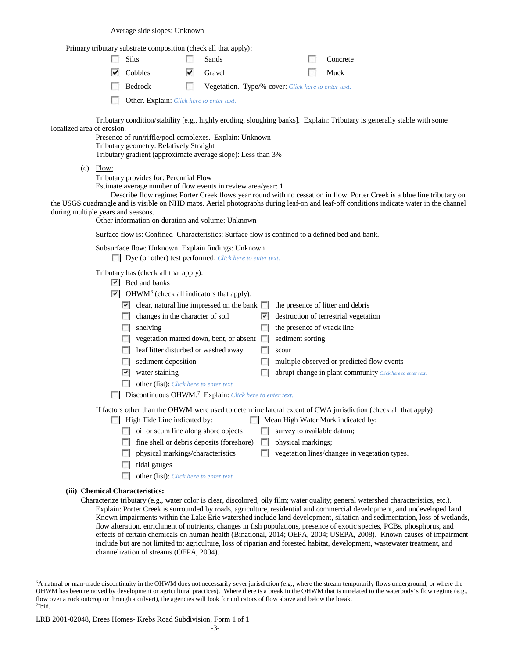Average side slopes: Unknown

Primary tributary substrate composition (check all that apply):

| $\Box$ Silts                              |              | Sands  |                                                                      |  | $\Box$ Concrete |  |  |
|-------------------------------------------|--------------|--------|----------------------------------------------------------------------|--|-----------------|--|--|
| $\triangleright$ Cobbles                  | $\checkmark$ | Gravel |                                                                      |  | <b>I</b> Muck   |  |  |
| <b>Bedrock</b>                            |              |        | <b>Example 3</b> Vegetation. Type/% cover: Click here to enter text. |  |                 |  |  |
| Other. Explain: Click here to enter text. |              |        |                                                                      |  |                 |  |  |

Tributary condition/stability [e.g., highly eroding, sloughing banks]. Explain: Tributary is generally stable with some localized area of erosion.

Presence of run/riffle/pool complexes. Explain: Unknown Tributary geometry: Relatively Straight Tributary gradient (approximate average slope): Less than 3%

 $(c)$  Flow:

Tributary provides for: Perennial Flow

Estimate average number of flow events in review area/year: 1

Describe flow regime: Porter Creek flows year round with no cessation in flow. Porter Creek is a blue line tributary on the USGS quadrangle and is visible on NHD maps. Aerial photographs during leaf-on and leaf-off conditions indicate water in the channel during multiple years and seasons.

Other information on duration and volume: Unknown

Surface flow is: Confined Characteristics: Surface flow is confined to a defined bed and bank.

Subsurface flow: Unknown Explain findings: Unknown

Dye (or other) test performed: *Click here to enter text.*

Tributary has (check all that apply):

- $\triangleright$  Bed and banks
- $\triangleright$  OHWM<sup>[6](#page-2-0)</sup> (check all indicators that apply):

| $\sigma$ of $\sigma$ and $\sigma$ are the set of $\sigma$ and $\sigma$ |                                                                                                               |  |                                                                          |  |  |  |
|------------------------------------------------------------------------|---------------------------------------------------------------------------------------------------------------|--|--------------------------------------------------------------------------|--|--|--|
|                                                                        | $\triangleright$ clear, natural line impressed on the bank $\triangleright$ the presence of litter and debris |  |                                                                          |  |  |  |
|                                                                        | $\Box$ changes in the character of soil                                                                       |  | $\vert \cdot \vert$ destruction of terrestrial vegetation                |  |  |  |
|                                                                        | $\Box$ shelving                                                                                               |  | $\Box$ the presence of wrack line                                        |  |  |  |
|                                                                        | $\Box$ vegetation matted down, bent, or absent $\Box$ sediment sorting                                        |  |                                                                          |  |  |  |
|                                                                        | $\Box$ leaf litter disturbed or washed away                                                                   |  | scour                                                                    |  |  |  |
|                                                                        | $\Box$ sediment deposition                                                                                    |  | $\Box$ multiple observed or predicted flow events                        |  |  |  |
|                                                                        | $\triangledown$ water staining                                                                                |  | $\Box$ abrupt change in plant community <i>Click here to enter text.</i> |  |  |  |
|                                                                        |                                                                                                               |  |                                                                          |  |  |  |

- other (list): *Click here to enter text.*
- Discontinuous OHWM.[7](#page-2-1) Explain: *Click here to enter text.*

If factors other than the OHWM were used to determine lateral extent of CWA jurisdiction (check all that apply):

- **High Tide Line indicated by:** Mean High Water Mark indicated by:
	- $\Box$  oil or scum line along shore objects  $\Box$  survey to available datum;
	- $\Box$  fine shell or debris deposits (foreshore)  $\Box$  physical markings;
	- $\Box$  physical markings/characteristics  $\Box$  vegetation lines/changes in vegetation types.
- $\Box$  tidal gauges
	- other (list): *Click here to enter text.*

# **(iii) Chemical Characteristics:**

Characterize tributary (e.g., water color is clear, discolored, oily film; water quality; general watershed characteristics, etc.). Explain: Porter Creek is surrounded by roads, agriculture, residential and commercial development, and undeveloped land. Known impairments within the Lake Erie watershed include land development, siltation and sedimentation, loss of wetlands, flow alteration, enrichment of nutrients, changes in fish populations, presence of exotic species, PCBs, phosphorus, and effects of certain chemicals on human health (Binational, 2014; OEPA, 2004; USEPA, 2008). Known causes of impairment include but are not limited to: agriculture, loss of riparian and forested habitat, development, wastewater treatment, and channelization of streams (OEPA, 2004).

<span id="page-2-0"></span> <sup>6</sup>A natural or man-made discontinuity in the OHWM does not necessarily sever jurisdiction (e.g., where the stream temporarily flows underground, or where the OHWM has been removed by development or agricultural practices). Where there is a break in the OHWM that is unrelated to the waterbody's flow regime (e.g., flow over a rock outcrop or through a culvert), the agencies will look for indicators of flow above and below the break. 7Ibid.

<span id="page-2-1"></span>LRB 2001-02048, Drees Homes- Krebs Road Subdivision, Form 1 of 1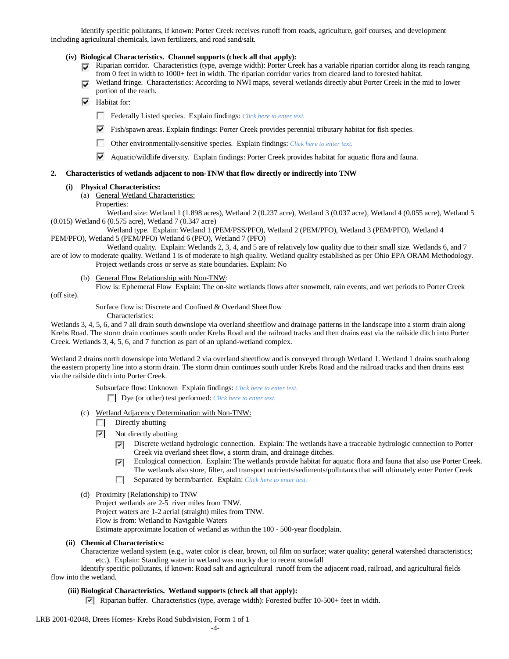Identify specific pollutants, if known: Porter Creek receives runoff from roads, agriculture, golf courses, and development including agricultural chemicals, lawn fertilizers, and road sand/salt.

- **(iv) Biological Characteristics. Channel supports (check all that apply):**
	- $\nabla$  Riparian corridor. Characteristics (type, average width): Porter Creek has a variable riparian corridor along its reach ranging from 0 feet in width to 1000+ feet in width. The riparian corridor varies from cleared land to forested habitat.
	- Wetland fringe. Characteristics: According to NWI maps, several wetlands directly abut Porter Creek in the mid to lower portion of the reach.
	- $\overline{\triangledown}$  Habitat for:
		- Federally Listed species. Explain findings: *Click here to enter text.*
		- $\triangledown$  Fish/spawn areas. Explain findings: Porter Creek provides perennial tributary habitat for fish species.
		- Other environmentally-sensitive species. Explain findings: *Click here to enter text.*
		- Aquatic/wildlife diversity. Explain findings: Porter Creek provides habitat for aquatic flora and fauna.

### **2. Characteristics of wetlands adjacent to non-TNW that flow directly or indirectly into TNW**

### **(i) Physical Characteristics:**

- (a) General Wetland Characteristics:
	- Properties:

Wetland size: Wetland 1 (1.898 acres), Wetland 2 (0.237 acre), Wetland 3 (0.037 acre), Wetland 4 (0.055 acre), Wetland 5 (0.015) Wetland 6 (0.575 acre), Wetland 7 (0.347 acre)

Wetland type. Explain: Wetland 1 (PEM/PSS/PFO), Wetland 2 (PEM/PFO), Wetland 3 (PEM/PFO), Wetland 4 PEM/PFO), Wetland 5 (PEM/PFO) Wetland 6 (PFO), Wetland 7 (PFO)

Wetland quality. Explain: Wetlands 2, 3, 4, and 5 are of relatively low quality due to their small size. Wetlands 6, and 7 are of low to moderate quality. Wetland 1 is of moderate to high quality. Wetland quality established as per Ohio EPA ORAM Methodology.

Project wetlands cross or serve as state boundaries. Explain: No

- (b) General Flow Relationship with Non-TNW:
- Flow is: Ephemeral Flow Explain: The on-site wetlands flows after snowmelt, rain events, and wet periods to Porter Creek

(off site).

Surface flow is: Discrete and Confined & Overland Sheetflow

Characteristics:

Wetlands 3, 4, 5, 6, and 7 all drain south downslope via overland sheetflow and drainage patterns in the landscape into a storm drain along Krebs Road. The storm drain continues south under Krebs Road and the railroad tracks and then drains east via the railside ditch into Porter Creek. Wetlands 3, 4, 5, 6, and 7 function as part of an upland-wetland complex.

Wetland 2 drains north downslope into Wetland 2 via overland sheetflow and is conveyed through Wetland 1. Wetland 1 drains south along the eastern property line into a storm drain. The storm drain continues south under Krebs Road and the railroad tracks and then drains east via the railside ditch into Porter Creek.

Subsurface flow: Unknown Explain findings: *Click here to enter text.*

Dye (or other) test performed: *Click here to enter text.*

- (c) Wetland Adjacency Determination with Non-TNW:
	- $\Box$  Directly abutting
	- $\triangledown$  Not directly abutting
		- Discrete wetland hydrologic connection. Explain: The wetlands have a traceable hydrologic connection to Porter  $\overline{\phantom{a}}$ Creek via overland sheet flow, a storm drain, and drainage ditches.
		- Ecological connection. Explain: The wetlands provide habitat for aquatic flora and fauna that also use Porter Creek. ⊽ The wetlands also store, filter, and transport nutrients/sediments/pollutants that will ultimately enter Porter Creek
		- $\sim$ Separated by berm/barrier. Explain: *Click here to enter text.*
- (d) Proximity (Relationship) to TNW

Project wetlands are 2-5 river miles from TNW. Project waters are 1-2 aerial (straight) miles from TNW. Flow is from: Wetland to Navigable Waters Estimate approximate location of wetland as within the 100 - 500-year floodplain.

### **(ii) Chemical Characteristics:**

Characterize wetland system (e.g., water color is clear, brown, oil film on surface; water quality; general watershed characteristics; etc.). Explain: Standing water in wetland was mucky due to recent snowfall

Identify specific pollutants, if known: Road salt and agricultural runoff from the adjacent road, railroad, and agricultural fields flow into the wetland.

## **(iii) Biological Characteristics. Wetland supports (check all that apply):**

**Riparian buffer.** Characteristics (type, average width): Forested buffer  $10-500+$  feet in width.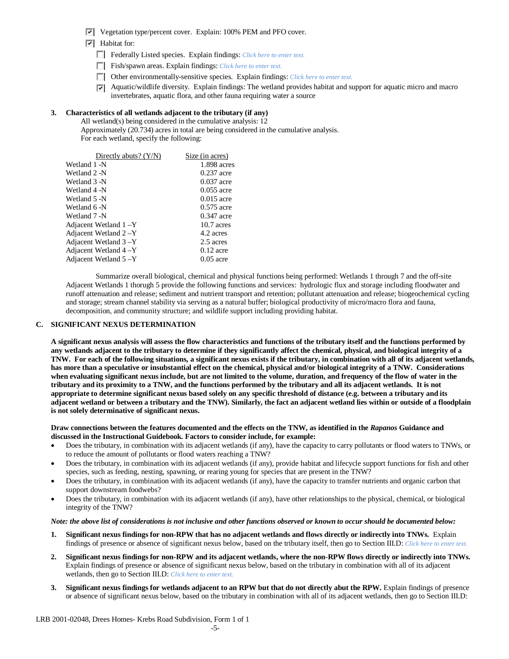- Vegetation type/percent cover. Explain: 100% PEM and PFO cover.
- $\triangledown$  Habitat for:
	- Federally Listed species. Explain findings: *Click here to enter text.*
	- Fish/spawn areas. Explain findings: *Click here to enter text.*
	- Other environmentally-sensitive species. Explain findings: *Click here to enter text.*
	- $\triangledown$  Aquatic/wildlife diversity. Explain findings: The wetland provides habitat and support for aquatic micro and macro invertebrates, aquatic flora, and other fauna requiring water a source

## **3. Characteristics of all wetlands adjacent to the tributary (if any)**

All wetland(s) being considered in the cumulative analysis: 12 Approximately (20.734) acres in total are being considered in the cumulative analysis. For each wetland, specify the following:

| Directly abuts? $(Y/N)$ | Size (in acres) |
|-------------------------|-----------------|
| Wetland 1 -N            | 1.898 acres     |
| Wetland 2 -N            | $0.237$ acre    |
| Wetland 3 -N            | $0.037$ acre    |
| Wetland 4 -N            | $0.055$ acre    |
| Wetland 5 -N            | $0.015$ acre    |
| Wetland 6 -N            | $0.575$ acre    |
| Wetland 7 -N            | $0.347$ acre    |
| Adjacent Wetland 1-Y    | $10.7$ acres    |
| Adjacent Wetland 2 - Y  | 4.2 acres       |
| Adjacent Wetland 3 -Y   | 2.5 acres       |
| Adjacent Wetland 4 – Y  | $0.12$ acre     |
| Adjacent Wetland 5-Y    | $0.05$ acre     |

Summarize overall biological, chemical and physical functions being performed: Wetlands 1 through 7 and the off-site Adjacent Wetlands 1 thorugh 5 provide the following functions and services: hydrologic flux and storage including floodwater and runoff attenuation and release; sediment and nutrient transport and retention; pollutant attenuation and release; biogeochemical cycling and storage; stream channel stability via serving as a natural buffer; biological productivity of micro/macro flora and fauna, decomposition, and community structure; and wildlife support including providing habitat.

### **C. SIGNIFICANT NEXUS DETERMINATION**

**A significant nexus analysis will assess the flow characteristics and functions of the tributary itself and the functions performed by any wetlands adjacent to the tributary to determine if they significantly affect the chemical, physical, and biological integrity of a TNW. For each of the following situations, a significant nexus exists if the tributary, in combination with all of its adjacent wetlands, has more than a speculative or insubstantial effect on the chemical, physical and/or biological integrity of a TNW. Considerations when evaluating significant nexus include, but are not limited to the volume, duration, and frequency of the flow of water in the tributary and its proximity to a TNW, and the functions performed by the tributary and all its adjacent wetlands. It is not appropriate to determine significant nexus based solely on any specific threshold of distance (e.g. between a tributary and its adjacent wetland or between a tributary and the TNW). Similarly, the fact an adjacent wetland lies within or outside of a floodplain is not solely determinative of significant nexus.** 

### **Draw connections between the features documented and the effects on the TNW, as identified in the** *Rapanos* **Guidance and discussed in the Instructional Guidebook. Factors to consider include, for example:**

- Does the tributary, in combination with its adjacent wetlands (if any), have the capacity to carry pollutants or flood waters to TNWs, or to reduce the amount of pollutants or flood waters reaching a TNW?
- Does the tributary, in combination with its adjacent wetlands (if any), provide habitat and lifecycle support functions for fish and other species, such as feeding, nesting, spawning, or rearing young for species that are present in the TNW?
- Does the tributary, in combination with its adjacent wetlands (if any), have the capacity to transfer nutrients and organic carbon that support downstream foodwebs?
- Does the tributary, in combination with its adjacent wetlands (if any), have other relationships to the physical, chemical, or biological integrity of the TNW?

### *Note: the above list of considerations is not inclusive and other functions observed or known to occur should be documented below:*

- **1. Significant nexus findings for non-RPW that has no adjacent wetlands and flows directly or indirectly into TNWs.** Explain findings of presence or absence of significant nexus below, based on the tributary itself, then go to Section III.D: *Click here to enter text.*
- **2. Significant nexus findings for non-RPW and its adjacent wetlands, where the non-RPW flows directly or indirectly into TNWs.**  Explain findings of presence or absence of significant nexus below, based on the tributary in combination with all of its adjacent wetlands, then go to Section III.D: *Click here to enter text.*
- **3. Significant nexus findings for wetlands adjacent to an RPW but that do not directly abut the RPW.** Explain findings of presence or absence of significant nexus below, based on the tributary in combination with all of its adjacent wetlands, then go to Section III.D: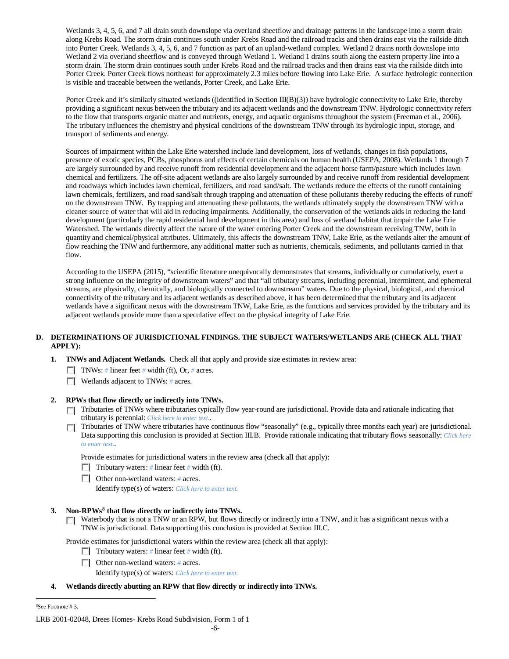Wetlands 3, 4, 5, 6, and 7 all drain south downslope via overland sheetflow and drainage patterns in the landscape into a storm drain along Krebs Road. The storm drain continues south under Krebs Road and the railroad tracks and then drains east via the railside ditch into Porter Creek. Wetlands 3, 4, 5, 6, and 7 function as part of an upland-wetland complex. Wetland 2 drains north downslope into Wetland 2 via overland sheetflow and is conveyed through Wetland 1. Wetland 1 drains south along the eastern property line into a storm drain. The storm drain continues south under Krebs Road and the railroad tracks and then drains east via the railside ditch into Porter Creek. Porter Creek flows northeast for approximately 2.3 miles before flowing into Lake Erie. A surface hydrologic connection is visible and traceable between the wetlands, Porter Creek, and Lake Erie.

Porter Creek and it's similarly situated wetlands ((identified in Section III(B)(3)) have hydrologic connectivity to Lake Erie, thereby providing a significant nexus between the tributary and its adjacent wetlands and the downstream TNW. Hydrologic connectivity refers to the flow that transports organic matter and nutrients, energy, and aquatic organisms throughout the system (Freeman et al., 2006). The tributary influences the chemistry and physical conditions of the downstream TNW through its hydrologic input, storage, and transport of sediments and energy.

Sources of impairment within the Lake Erie watershed include land development, loss of wetlands, changes in fish populations, presence of exotic species, PCBs, phosphorus and effects of certain chemicals on human health (USEPA, 2008). Wetlands 1 through 7 are largely surrounded by and receive runoff from residential development and the adjacent horse farm/pasture which includes lawn chemical and fertilizers. The off-site adjacent wetlands are also largely surrounded by and receive runoff from residential development and roadways which includes lawn chemical, fertilizers, and road sand/salt. The wetlands reduce the effects of the runoff containing lawn chemicals, fertilizers, and road sand/salt through trapping and attenuation of these pollutants thereby reducing the effects of runoff on the downstream TNW. By trapping and attenuating these pollutants, the wetlands ultimately supply the downstream TNW with a cleaner source of water that will aid in reducing impairments. Additionally, the conservation of the wetlands aids in reducing the land development (particularly the rapid residential land development in this area) and loss of wetland habitat that impair the Lake Erie Watershed. The wetlands directly affect the nature of the water entering Porter Creek and the downstream receiving TNW, both in quantity and chemical/physical attributes. Ultimately, this affects the downstream TNW, Lake Erie, as the wetlands alter the amount of flow reaching the TNW and furthermore, any additional matter such as nutrients, chemicals, sediments, and pollutants carried in that flow.

According to the USEPA (2015), "scientific literature unequivocally demonstrates that streams, individually or cumulatively, exert a strong influence on the integrity of downstream waters" and that "all tributary streams, including perennial, intermittent, and ephemeral streams, are physically, chemically, and biologically connected to downstream" waters. Due to the physical, biological, and chemical connectivity of the tributary and its adjacent wetlands as described above, it has been determined that the tributary and its adjacent wetlands have a significant nexus with the downstream TNW, Lake Erie, as the functions and services provided by the tributary and its adjacent wetlands provide more than a speculative effect on the physical integrity of Lake Erie.

## **D. DETERMINATIONS OF JURISDICTIONAL FINDINGS. THE SUBJECT WATERS/WETLANDS ARE (CHECK ALL THAT APPLY):**

- **1. TNWs and Adjacent Wetlands.** Check all that apply and provide size estimates in review area:
	- TNWs: *#* linear feet *#* width (ft), Or, *#* acres.
	- **Wetlands adjacent to TNWs: # acres.**

## **2. RPWs that flow directly or indirectly into TNWs.**

- Tributaries of TNWs where tributaries typically flow year-round are jurisdictional. Provide data and rationale indicating that tributary is perennial: *Click here to enter text.*.
- Tributaries of TNW where tributaries have continuous flow "seasonally" (e.g., typically three months each year) are jurisdictional. Data supporting this conclusion is provided at Section III.B. Provide rationale indicating that tributary flows seasonally: *Click here to enter text.*.

Provide estimates for jurisdictional waters in the review area (check all that apply):

- Tributary waters: # linear feet # width (ft).
- Other non-wetland waters: *#* acres.

Identify type(s) of waters: *Click here to enter text.*

### **3. Non-RPWs[8](#page-5-0) that flow directly or indirectly into TNWs.**

Waterbody that is not a TNW or an RPW, but flows directly or indirectly into a TNW, and it has a significant nexus with a TNW is jurisdictional. Data supporting this conclusion is provided at Section III.C.

Provide estimates for jurisdictional waters within the review area (check all that apply):

- Tributary waters: # linear feet # width (ft).
- Other non-wetland waters: *#* acres.

Identify type(s) of waters: *Click here to enter text.*

### **4. Wetlands directly abutting an RPW that flow directly or indirectly into TNWs.**

<span id="page-5-0"></span> $\frac{1}{8}$ See Footnote # 3.

LRB 2001-02048, Drees Homes- Krebs Road Subdivision, Form 1 of 1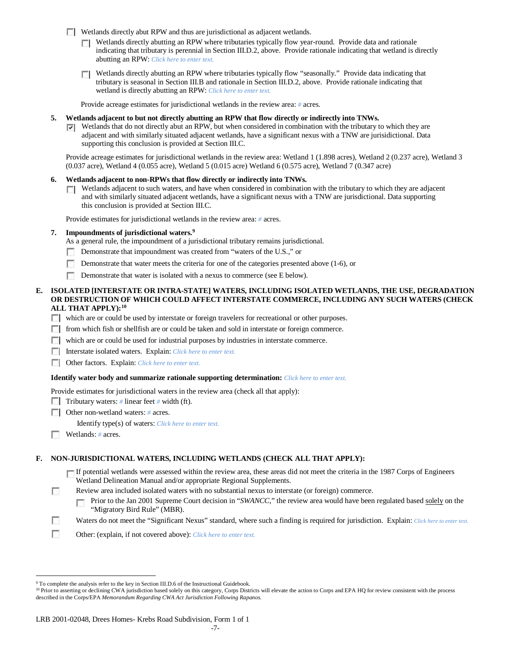Wetlands directly abut RPW and thus are jurisdictional as adjacent wetlands.

- $\Box$  Wetlands directly abutting an RPW where tributaries typically flow year-round. Provide data and rationale indicating that tributary is perennial in Section III.D.2, above. Provide rationale indicating that wetland is directly abutting an RPW: *Click here to enter text.*
- Wetlands directly abutting an RPW where tributaries typically flow "seasonally." Provide data indicating that tributary is seasonal in Section III.B and rationale in Section III.D.2, above. Provide rationale indicating that wetland is directly abutting an RPW: *Click here to enter text.*

Provide acreage estimates for jurisdictional wetlands in the review area: *#* acres.

- **5. Wetlands adjacent to but not directly abutting an RPW that flow directly or indirectly into TNWs.**
	- $\nabla$  Wetlands that do not directly abut an RPW, but when considered in combination with the tributary to which they are adjacent and with similarly situated adjacent wetlands, have a significant nexus with a TNW are jurisidictional. Data supporting this conclusion is provided at Section III.C.

Provide acreage estimates for jurisdictional wetlands in the review area: Wetland 1 (1.898 acres), Wetland 2 (0.237 acre), Wetland 3 (0.037 acre), Wetland 4 (0.055 acre), Wetland 5 (0.015 acre) Wetland 6 (0.575 acre), Wetland 7 (0.347 acre)

- **6. Wetlands adjacent to non-RPWs that flow directly or indirectly into TNWs.** 
	- $\Box$  Wetlands adjacent to such waters, and have when considered in combination with the tributary to which they are adjacent and with similarly situated adjacent wetlands, have a significant nexus with a TNW are jurisdictional. Data supporting this conclusion is provided at Section III.C.

Provide estimates for jurisdictional wetlands in the review area: *#* acres.

## **7. Impoundments of jurisdictional waters. [9](#page-6-0)**

- As a general rule, the impoundment of a jurisdictional tributary remains jurisdictional.
- Demonstrate that impoundment was created from "waters of the U.S.," or
- Demonstrate that water meets the criteria for one of the categories presented above (1-6), or
- $\sim$ Demonstrate that water is isolated with a nexus to commerce (see E below).

### **E. ISOLATED [INTERSTATE OR INTRA-STATE] WATERS, INCLUDING ISOLATED WETLANDS, THE USE, DEGRADATION OR DESTRUCTION OF WHICH COULD AFFECT INTERSTATE COMMERCE, INCLUDING ANY SUCH WATERS (CHECK ALL THAT APPLY):[10](#page-6-1)**

- which are or could be used by interstate or foreign travelers for recreational or other purposes.
- $\Box$  from which fish or shellfish are or could be taken and sold in interstate or foreign commerce.
- which are or could be used for industrial purposes by industries in interstate commerce.
- Interstate isolated waters.Explain: *Click here to enter text.*
- **COREGIST:** Other factors. Explain: *Click here to enter text.*

### **Identify water body and summarize rationale supporting determination:** *Click here to enter text.*

Provide estimates for jurisdictional waters in the review area (check all that apply):

- Tributary waters: # linear feet # width (ft).
- Other non-wetland waters: *#* acres. Identify type(s) of waters: *Click here to enter text.*
- Wetlands: # acres.

 $\sim$ 

## **F. NON-JURISDICTIONAL WATERS, INCLUDING WETLANDS (CHECK ALL THAT APPLY):**

If potential wetlands were assessed within the review area, these areas did not meet the criteria in the 1987 Corps of Engineers Wetland Delineation Manual and/or appropriate Regional Supplements.

- Review area included isolated waters with no substantial nexus to interstate (or foreign) commerce.
	- Prior to the Jan 2001 Supreme Court decision in "*SWANCC*," the review area would have been regulated based solely on the г "Migratory Bird Rule" (MBR).
- n Waters do not meet the "Significant Nexus" standard, where such a finding is required for jurisdiction. Explain: *Click here to enter text.*
- T. Other: (explain, if not covered above): *Click here to enter text.*

<span id="page-6-0"></span><sup>&</sup>lt;sup>9</sup> To complete the analysis refer to the key in Section III.D.6 of the Instructional Guidebook.

<span id="page-6-1"></span><sup>&</sup>lt;sup>10</sup> Prior to asserting or declining CWA jurisdiction based solely on this category, Corps Districts will elevate the action to Corps and EPA HQ for review consistent with the process described in the Corps/EPA *Memorandum Regarding CWA Act Jurisdiction Following Rapanos.*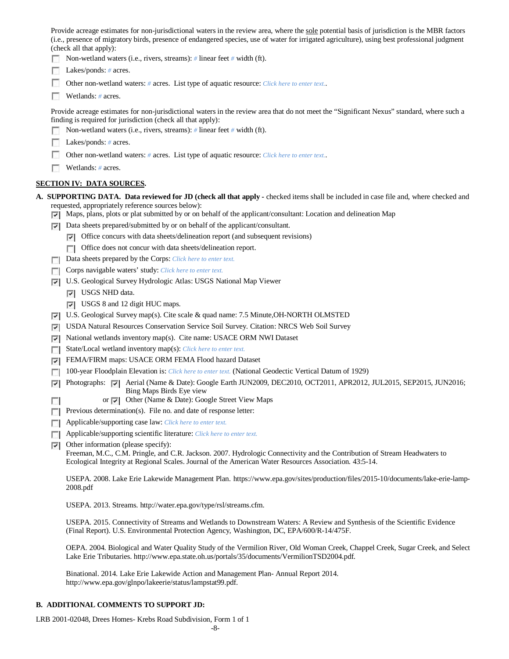Provide acreage estimates for non-jurisdictional waters in the review area, where the sole potential basis of jurisdiction is the MBR factors (i.e., presence of migratory birds, presence of endangered species, use of water for irrigated agriculture), using best professional judgment (check all that apply):

Non-wetland waters (i.e., rivers, streams): *#* linear feet *#* width (ft).

- Lakes/ponds: *#* acres.
- Other non-wetland waters: *#* acres. List type of aquatic resource: *Click here to enter text.*.
- Wetlands: *#* acres.

Provide acreage estimates for non-jurisdictional waters in the review area that do not meet the "Significant Nexus" standard, where such a finding is required for jurisdiction (check all that apply):

- Non-wetland waters (i.e., rivers, streams): *#* linear feet *#* width (ft).
- Lakes/ponds: *#* acres.
- Other non-wetland waters: *#* acres. List type of aquatic resource: *Click here to enter text.*.
- Wetlands: # acres.

## **SECTION IV: DATA SOURCES.**

**A. SUPPORTING DATA. Data reviewed for JD (check all that apply -** checked items shall be included in case file and, where checked and requested, appropriately reference sources below):

- Maps, plans, plots or plat submitted by or on behalf of the applicant/consultant: Location and delineation Map
- $\nabla$  Data sheets prepared/submitted by or on behalf of the applicant/consultant.
	- $\nabla$  Office concurs with data sheets/delineation report (and subsequent revisions)
	- Office does not concur with data sheets/delineation report.
- Data sheets prepared by the Corps: *Click here to enter text.*
- Corps navigable waters' study: *Click here to enter text.*
- U.S. Geological Survey Hydrologic Atlas: USGS National Map Viewer
	- **V** USGS NHD data.
	- USGS 8 and 12 digit HUC maps.
- U.S. Geological Survey map(s). Cite scale & quad name: 7.5 Minute, OH-NORTH OLMSTED
- USDA Natural Resources Conservation Service Soil Survey. Citation: NRCS Web Soil Survey
- National wetlands inventory map(s). Cite name: USACE ORM NWI Dataset ☞
- State/Local wetland inventory map(s): *Click here to enter text.*
- FEMA/FIRM maps: USACE ORM FEMA Flood hazard Dataset
- 100-year Floodplain Elevation is: *Click here to enter text.* (National Geodectic Vertical Datum of 1929)
- Photographs: P Aerial (Name & Date): Google Earth JUN2009, DEC2010, OCT2011, APR2012, JUL2015, SEP2015, JUN2016; Bing Maps Birds Eye view
	- or  $\overline{\triangledown}$  Other (Name & Date): Google Street View Maps
- **Previous determination(s).** File no. and date of response letter:
- Applicable/supporting case law: *Click here to enter text.*
- Applicable/supporting scientific literature: *Click here to enter text.*
- $\triangledown$  Other information (please specify):

п

Freeman, M.C., C.M. Pringle, and C.R. Jackson. 2007. Hydrologic Connectivity and the Contribution of Stream Headwaters to Ecological Integrity at Regional Scales. Journal of the American Water Resources Association. 43:5-14.

USEPA. 2008. Lake Erie Lakewide Management Plan. https://www.epa.gov/sites/production/files/2015-10/documents/lake-erie-lamp-2008.pdf

USEPA. 2013. Streams. http://water.epa.gov/type/rsl/streams.cfm.

USEPA. 2015. Connectivity of Streams and Wetlands to Downstream Waters: A Review and Synthesis of the Scientific Evidence (Final Report). U.S. Environmental Protection Agency, Washington, DC, EPA/600/R-14/475F.

OEPA. 2004. Biological and Water Quality Study of the Vermilion River, Old Woman Creek, Chappel Creek, Sugar Creek, and Select Lake Erie Tributaries. http://www.epa.state.oh.us/portals/35/documents/VermilionTSD2004.pdf.

Binational. 2014. Lake Erie Lakewide Action and Management Plan- Annual Report 2014. http://www.epa.gov/glnpo/lakeerie/status/lampstat99.pdf.

## **B. ADDITIONAL COMMENTS TO SUPPORT JD:**

LRB 2001-02048, Drees Homes- Krebs Road Subdivision, Form 1 of 1